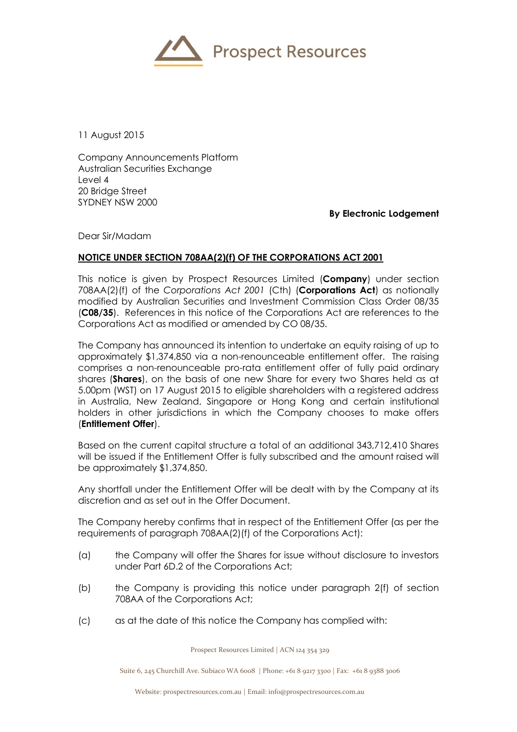

11 August 2015

Company Announcements Platform Australian Securities Exchange Level 4 20 Bridge Street SYDNEY NSW 2000

**By Electronic Lodgement**

Dear Sir/Madam

## **NOTICE UNDER SECTION 708AA(2)(f) OF THE CORPORATIONS ACT 2001**

This notice is given by Prospect Resources Limited (**Company**) under section 708AA(2)(f) of the *Corporations Act 2001* (Cth) (**Corporations Act**) as notionally modified by Australian Securities and Investment Commission Class Order 08/35 (**C08/35**). References in this notice of the Corporations Act are references to the Corporations Act as modified or amended by CO 08/35.

The Company has announced its intention to undertake an equity raising of up to approximately \$1,374,850 via a non-renounceable entitlement offer. The raising comprises a non-renounceable pro-rata entitlement offer of fully paid ordinary shares (**Shares**), on the basis of one new Share for every two Shares held as at 5.00pm (WST) on 17 August 2015 to eligible shareholders with a registered address in Australia, New Zealand, Singapore or Hong Kong and certain institutional holders in other jurisdictions in which the Company chooses to make offers (**Entitlement Offer**).

Based on the current capital structure a total of an additional 343,712,410 Shares will be issued if the Entitlement Offer is fully subscribed and the amount raised will be approximately \$1,374,850.

Any shortfall under the Entitlement Offer will be dealt with by the Company at its discretion and as set out in the Offer Document.

The Company hereby confirms that in respect of the Entitlement Offer (as per the requirements of paragraph 708AA(2)(f) of the Corporations Act):

- (a) the Company will offer the Shares for issue without disclosure to investors under Part 6D.2 of the Corporations Act;
- (b) the Company is providing this notice under paragraph 2(f) of section 708AA of the Corporations Act;
- (c) as at the date of this notice the Company has complied with:

Prospect Resources Limited | ACN 124 354 329

Suite 6, 245 Churchill Ave. Subiaco WA 6008 | Phone: +61 8 9217 3300 | Fax: +61 8 9388 3006